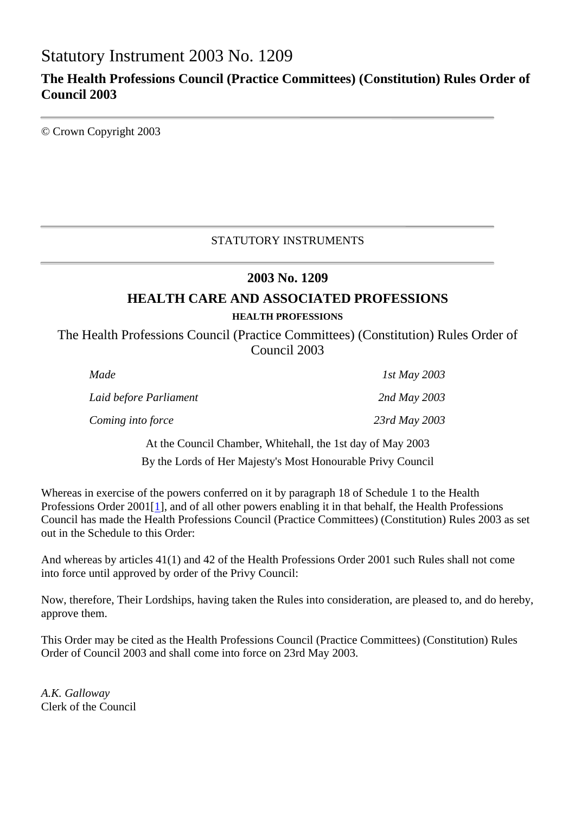# Statutory Instrument 2003 No. 1209

# **The Health Professions Council (Practice Committees) (Constitution) Rules Order of Council 2003**

© Crown Copyright 2003

# STATUTORY INSTRUMENTS

# **2003 No. 1209**

# **HEALTH CARE AND ASSOCIATED PROFESSIONS**

#### **HEALTH PROFESSIONS**

The Health Professions Council (Practice Committees) (Constitution) Rules Order of Council 2003

| Made                                                       | 1st May 2003  |
|------------------------------------------------------------|---------------|
| Laid before Parliament                                     | 2nd May 2003  |
| Coming into force                                          | 23rd May 2003 |
| At the Council Chamber, Whitehall, the 1st day of May 2003 |               |

By the Lords of Her Majesty's Most Honourable Privy Council

Whereas in exercise of the powers conferred on it by paragraph 18 of Schedule 1 to the Health Professions Order 2001<sup>[1]</sup>, and of all other powers enabling it in that behalf, the Health Professions Council has made the Health Professions Council (Practice Committees) (Constitution) Rules 2003 as set out in the Schedule to this Order:

And whereas by articles 41(1) and 42 of the Health Professions Order 2001 such Rules shall not come into force until approved by order of the Privy Council:

Now, therefore, Their Lordships, having taken the Rules into consideration, are pleased to, and do hereby, approve them.

This Order may be cited as the Health Professions Council (Practice Committees) (Constitution) Rules Order of Council 2003 and shall come into force on 23rd May 2003.

*A.K. Galloway* Clerk of the Council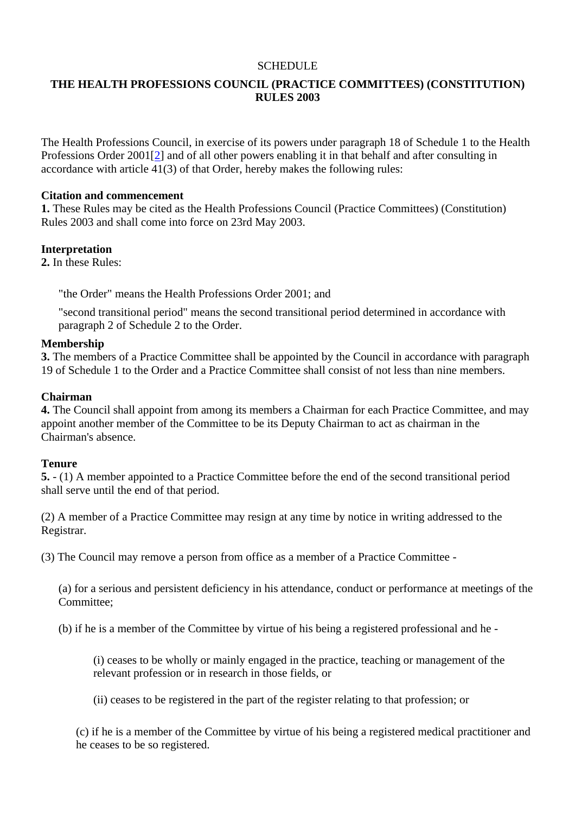### **SCHEDULE**

# **THE HEALTH PROFESSIONS COUNCIL (PRACTICE COMMITTEES) (CONSTITUTION) RULES 2003**

The Health Professions Council, in exercise of its powers under paragraph 18 of Schedule 1 to the Health Professions Order 2001[2] and of all other powers enabling it in that behalf and after consulting in accordance with article 41(3) of that Order, hereby makes the following rules:

#### **Citation and commencement**

**1.** These Rules may be cited as the Health Professions Council (Practice Committees) (Constitution) Rules 2003 and shall come into force on 23rd May 2003.

#### **Interpretation**

**2.** In these Rules:

"the Order" means the Health Professions Order 2001; and

"second transitional period" means the second transitional period determined in accordance with paragraph 2 of Schedule 2 to the Order.

#### **Membership**

**3.** The members of a Practice Committee shall be appointed by the Council in accordance with paragraph 19 of Schedule 1 to the Order and a Practice Committee shall consist of not less than nine members.

#### **Chairman**

**4.** The Council shall appoint from among its members a Chairman for each Practice Committee, and may appoint another member of the Committee to be its Deputy Chairman to act as chairman in the Chairman's absence.

#### **Tenure**

**5.** - (1) A member appointed to a Practice Committee before the end of the second transitional period shall serve until the end of that period.

(2) A member of a Practice Committee may resign at any time by notice in writing addressed to the Registrar.

(3) The Council may remove a person from office as a member of a Practice Committee -

(a) for a serious and persistent deficiency in his attendance, conduct or performance at meetings of the Committee;

(b) if he is a member of the Committee by virtue of his being a registered professional and he -

(i) ceases to be wholly or mainly engaged in the practice, teaching or management of the relevant profession or in research in those fields, or

(ii) ceases to be registered in the part of the register relating to that profession; or

(c) if he is a member of the Committee by virtue of his being a registered medical practitioner and he ceases to be so registered.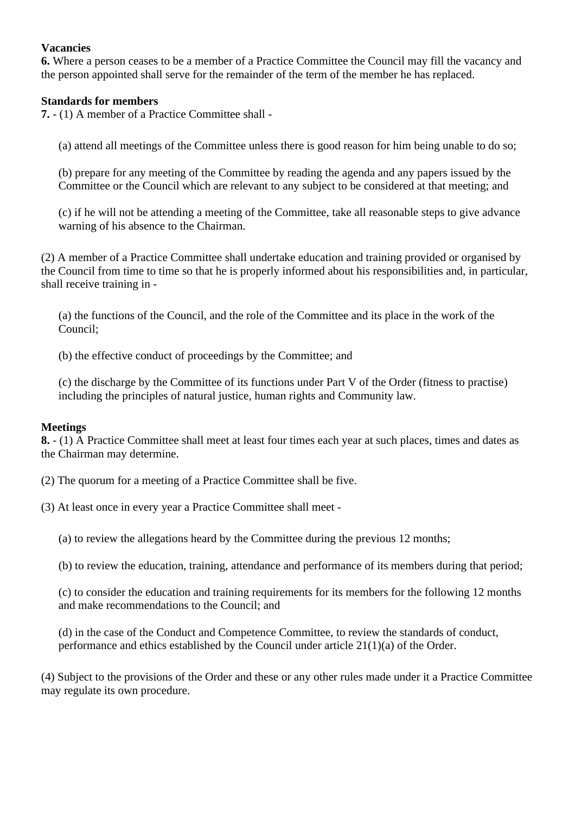# **Vacancies**

**6.** Where a person ceases to be a member of a Practice Committee the Council may fill the vacancy and the person appointed shall serve for the remainder of the term of the member he has replaced.

## **Standards for members**

**7.** - (1) A member of a Practice Committee shall -

(a) attend all meetings of the Committee unless there is good reason for him being unable to do so;

(b) prepare for any meeting of the Committee by reading the agenda and any papers issued by the Committee or the Council which are relevant to any subject to be considered at that meeting; and

(c) if he will not be attending a meeting of the Committee, take all reasonable steps to give advance warning of his absence to the Chairman.

(2) A member of a Practice Committee shall undertake education and training provided or organised by the Council from time to time so that he is properly informed about his responsibilities and, in particular, shall receive training in -

(a) the functions of the Council, and the role of the Committee and its place in the work of the Council;

(b) the effective conduct of proceedings by the Committee; and

(c) the discharge by the Committee of its functions under Part V of the Order (fitness to practise) including the principles of natural justice, human rights and Community law.

#### **Meetings**

**8.** - (1) A Practice Committee shall meet at least four times each year at such places, times and dates as the Chairman may determine.

(2) The quorum for a meeting of a Practice Committee shall be five.

(3) At least once in every year a Practice Committee shall meet -

(a) to review the allegations heard by the Committee during the previous 12 months;

(b) to review the education, training, attendance and performance of its members during that period;

(c) to consider the education and training requirements for its members for the following 12 months and make recommendations to the Council; and

(d) in the case of the Conduct and Competence Committee, to review the standards of conduct, performance and ethics established by the Council under article 21(1)(a) of the Order.

(4) Subject to the provisions of the Order and these or any other rules made under it a Practice Committee may regulate its own procedure.